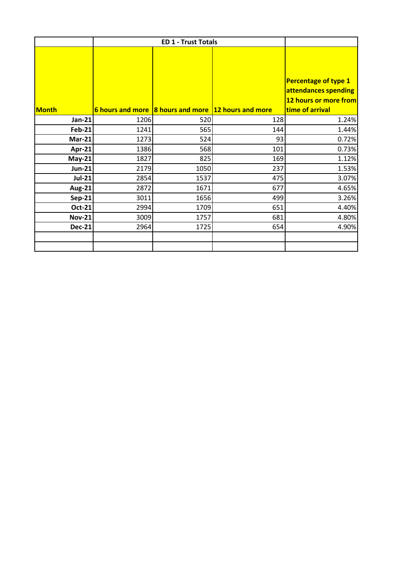| <b>Month</b>  |      |      | 6 hours and more 8 hours and more 12 hours and more | <b>Percentage of type 1</b><br>attendances spending<br>12 hours or more from<br>time of arrival |
|---------------|------|------|-----------------------------------------------------|-------------------------------------------------------------------------------------------------|
| <b>Jan-21</b> | 1206 | 520  | 128                                                 | 1.24%                                                                                           |
| <b>Feb-21</b> | 1241 | 565  | 144                                                 | 1.44%                                                                                           |
| $Mar-21$      | 1273 | 524  | 93                                                  | 0.72%                                                                                           |
| Apr-21        | 1386 | 568  | 101                                                 | 0.73%                                                                                           |
| $May-21$      | 1827 | 825  | 169                                                 | 1.12%                                                                                           |
| <b>Jun-21</b> | 2179 | 1050 | 237                                                 | 1.53%                                                                                           |
| <b>Jul-21</b> | 2854 | 1537 | 475                                                 | 3.07%                                                                                           |
| <b>Aug-21</b> | 2872 | 1671 | 677                                                 | 4.65%                                                                                           |
| Sep-21        | 3011 | 1656 | 499                                                 | 3.26%                                                                                           |
| <b>Oct-21</b> | 2994 | 1709 | 651                                                 | 4.40%                                                                                           |
| <b>Nov-21</b> | 3009 | 1757 | 681                                                 | 4.80%                                                                                           |
| <b>Dec-21</b> | 2964 | 1725 | 654                                                 | 4.90%                                                                                           |
|               |      |      |                                                     |                                                                                                 |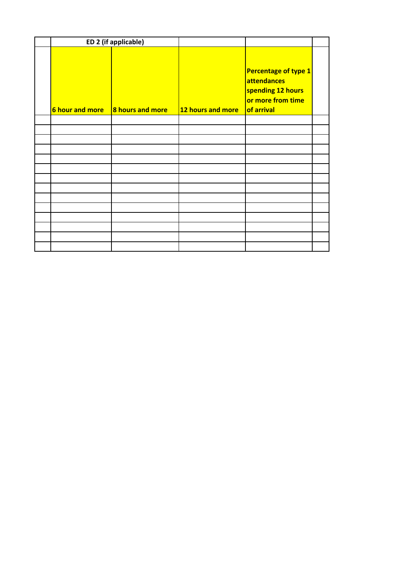|                        | ED 2 (if applicable)    |                   |                                                                                             |  |
|------------------------|-------------------------|-------------------|---------------------------------------------------------------------------------------------|--|
| <b>6 hour and more</b> | <b>8 hours and more</b> | 12 hours and more | Percentage of type 1<br>attendances<br>spending 12 hours<br>or more from time<br>of arrival |  |
|                        |                         |                   |                                                                                             |  |
|                        |                         |                   |                                                                                             |  |
|                        |                         |                   |                                                                                             |  |
|                        |                         |                   |                                                                                             |  |
|                        |                         |                   |                                                                                             |  |
|                        |                         |                   |                                                                                             |  |
|                        |                         |                   |                                                                                             |  |
|                        |                         |                   |                                                                                             |  |
|                        |                         |                   |                                                                                             |  |
|                        |                         |                   |                                                                                             |  |
|                        |                         |                   |                                                                                             |  |
|                        |                         |                   |                                                                                             |  |
|                        |                         |                   |                                                                                             |  |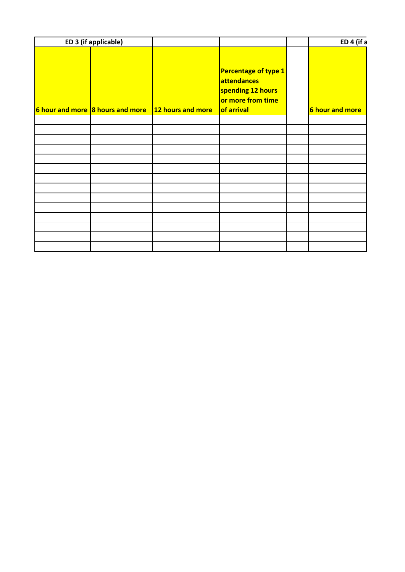| ED 3 (if applicable) |                                                    |                                                                                                    | ED 4 (if a      |  |
|----------------------|----------------------------------------------------|----------------------------------------------------------------------------------------------------|-----------------|--|
|                      | 6 hour and more 8 hours and more 12 hours and more | Percentage of type 1<br>attendances<br>spending 12 hours<br>or more from time<br><b>of arrival</b> | 6 hour and more |  |
|                      |                                                    |                                                                                                    |                 |  |
|                      |                                                    |                                                                                                    |                 |  |
|                      |                                                    |                                                                                                    |                 |  |
|                      |                                                    |                                                                                                    |                 |  |
|                      |                                                    |                                                                                                    |                 |  |
|                      |                                                    |                                                                                                    |                 |  |
|                      |                                                    |                                                                                                    |                 |  |
|                      |                                                    |                                                                                                    |                 |  |
|                      |                                                    |                                                                                                    |                 |  |
|                      |                                                    |                                                                                                    |                 |  |
|                      |                                                    |                                                                                                    |                 |  |
|                      |                                                    |                                                                                                    |                 |  |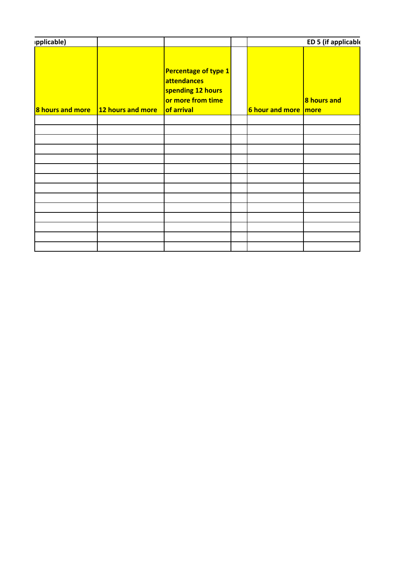| pplicable)       |                   |                                                                                                    |                        | ED 5 (if applicable |
|------------------|-------------------|----------------------------------------------------------------------------------------------------|------------------------|---------------------|
| 8 hours and more | 12 hours and more | Percentage of type 1<br>attendances<br>spending 12 hours<br>or more from time<br><b>of arrival</b> | 6 hour and more   more | <b>8 hours and</b>  |
|                  |                   |                                                                                                    |                        |                     |
|                  |                   |                                                                                                    |                        |                     |
|                  |                   |                                                                                                    |                        |                     |
|                  |                   |                                                                                                    |                        |                     |
|                  |                   |                                                                                                    |                        |                     |
|                  |                   |                                                                                                    |                        |                     |
|                  |                   |                                                                                                    |                        |                     |
|                  |                   |                                                                                                    |                        |                     |
|                  |                   |                                                                                                    |                        |                     |
|                  |                   |                                                                                                    |                        |                     |
|                  |                   |                                                                                                    |                        |                     |
|                  |                   |                                                                                                    |                        |                     |
|                  |                   |                                                                                                    |                        |                     |
|                  |                   |                                                                                                    |                        |                     |